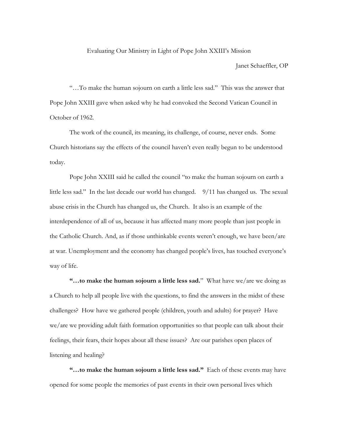## Evaluating Our Ministry in Light of Pope John XXIII's Mission

Janet Schaeffler, OP

"…To make the human sojourn on earth a little less sad." This was the answer that Pope John XXIII gave when asked why he had convoked the Second Vatican Council in October of 1962.

The work of the council, its meaning, its challenge, of course, never ends. Some Church historians say the effects of the council haven't even really begun to be understood today.

Pope John XXIII said he called the council "to make the human sojourn on earth a little less sad." In the last decade our world has changed. 9/11 has changed us. The sexual abuse crisis in the Church has changed us, the Church. It also is an example of the interdependence of all of us, because it has affected many more people than just people in the Catholic Church. And, as if those unthinkable events weren't enough, we have been/are at war. Unemployment and the economy has changed people's lives, has touched everyone's way of life.

**"…to make the human sojourn a little less sad.**" What have we/are we doing as a Church to help all people live with the questions, to find the answers in the midst of these challenges? How have we gathered people (children, youth and adults) for prayer? Have we/are we providing adult faith formation opportunities so that people can talk about their feelings, their fears, their hopes about all these issues? Are our parishes open places of listening and healing?

**"…to make the human sojourn a little less sad."** Each of these events may have opened for some people the memories of past events in their own personal lives which